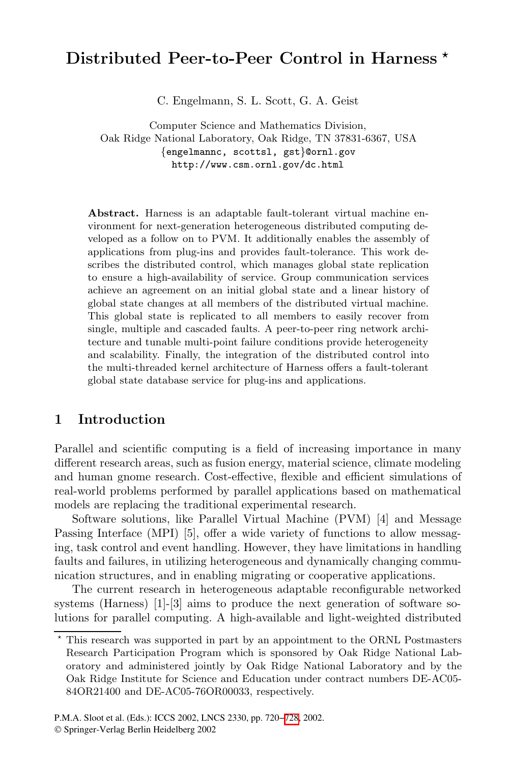# **Distributed Peer-to-Peer Control in Harness**

C. Engelmann, S. L. Scott, G. A. Geist

Computer Science and Mathematics Division, Oak Ridge National Laboratory, Oak Ridge, TN 37831-6367, USA {engelmannc, scottsl, gst}@ornl.gov http://www.csm.ornl.gov/dc.html

**Abstract.** Harness is an adaptable fault-tolerant virtual machine environment for next-generation heterogeneous distributed computing developed as a follow on to PVM. It additionally enables the assembly of applications from plug-ins and provides fault-tolerance. This work describes the distributed control, which manages global state replication to ensure a high-availability of service. Group communication services achieve an agreement on an initial global state and a linear history of global state changes at all members of the distributed virtual machine. This global state is replicated to all members to easily recover from single, multiple and cascaded faults. A peer-to-peer ring network architecture and tunable multi-point failure conditions provide heterogeneity and scalability. Finally, the integration of the distributed control into the multi-threaded kernel architecture of Harness offers a fault-tolerant global state database service for plug-ins and applications.

### **1 Introduction**

Parallel and scientific computing is a field of increasing importance in many different research areas, such as fusion energy, material science, climate modeling and human gnome research. Cost-effective, flexible and efficient simulations of real-world problems performed by parallel applications based on mathematical models are replacing the traditional experimental research.

Software solutions, like Parallel Virtual Machine (PVM) [4] and Message Passing Interface (MPI) [5], offer a wide variety of functions to allow messaging, task control and event handling. However, they have limitations in handling faults and failures, in utilizing heterogeneous and dynamically changing communication structures, and in enabling migrating or cooperative applications.

The current research in heterogeneous adaptable reconfigurable networked systems (Harness) [1]-[3] aims to produce the next generation of software solutions for parallel computing. A high-available and light-weighted distributed

This research was supported in part by an appointment to the ORNL Postmasters Research Participation Program which is sponsored by Oak Ridge National Laboratory and administered jointly by Oak Ridge National Laboratory and by the Oak Ridge Institute for Science and Education under contract numbers DE-AC05- 84OR21400 and DE-AC[05-7](#page-8-0)6OR00033, respectively.

P.M.A. Sloot et al. (Eds.): ICCS 2002, LNCS 2330, pp. 720−728, 2002. Springer-Verlag Berlin Heidelberg 2002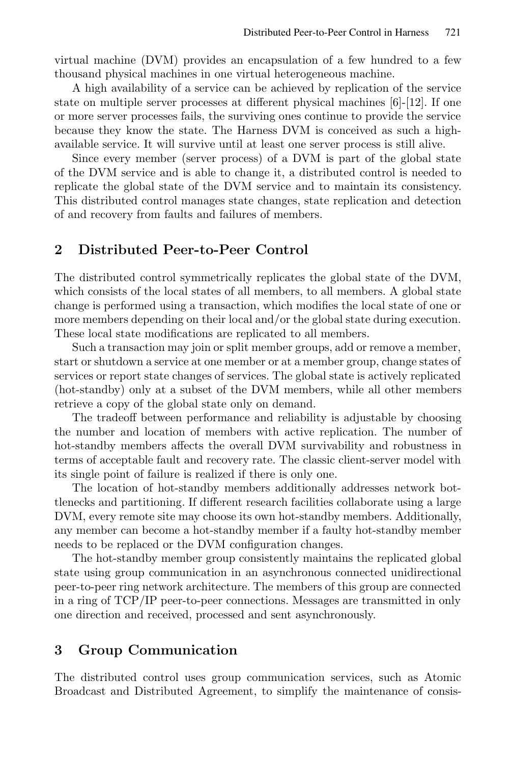virtual machine (DVM) provides an encapsulation of a few hundred to a few thousand physical machines in one virtual heterogeneous machine.

A high availability of a service can be achieved by replication of the service state on multiple server processes at different physical machines [6]-[12]. If one or more server processes fails, the surviving ones continue to provide the service because they know the state. The Harness DVM is conceived as such a highavailable service. It will survive until at least one server process is still alive.

Since every member (server process) of a DVM is part of the global state of the DVM service and is able to change it, a distributed control is needed to replicate the global state of the DVM service and to maintain its consistency. This distributed control manages state changes, state replication and detection of and recovery from faults and failures of members.

## **2 Distributed Peer-to-Peer Control**

The distributed control symmetrically replicates the global state of the DVM, which consists of the local states of all members, to all members. A global state change is performed using a transaction, which modifies the local state of one or more members depending on their local and/or the global state during execution. These local state modifications are replicated to all members.

Such a transaction may join or split member groups, add or remove a member, start or shutdown a service at one member or at a member group, change states of services or report state changes of services. The global state is actively replicated (hot-standby) only at a subset of the DVM members, while all other members retrieve a copy of the global state only on demand.

The tradeoff between performance and reliability is adjustable by choosing the number and location of members with active replication. The number of hot-standby members affects the overall DVM survivability and robustness in terms of acceptable fault and recovery rate. The classic client-server model with its single point of failure is realized if there is only one.

The location of hot-standby members additionally addresses network bottlenecks and partitioning. If different research facilities collaborate using a large DVM, every remote site may choose its own hot-standby members. Additionally, any member can become a hot-standby member if a faulty hot-standby member needs to be replaced or the DVM configuration changes.

The hot-standby member group consistently maintains the replicated global state using group communication in an asynchronous connected unidirectional peer-to-peer ring network architecture. The members of this group are connected in a ring of TCP/IP peer-to-peer connections. Messages are transmitted in only one direction and received, processed and sent asynchronously.

## **3 Group Communication**

The distributed control uses group communication services, such as Atomic Broadcast and Distributed Agreement, to simplify the maintenance of consis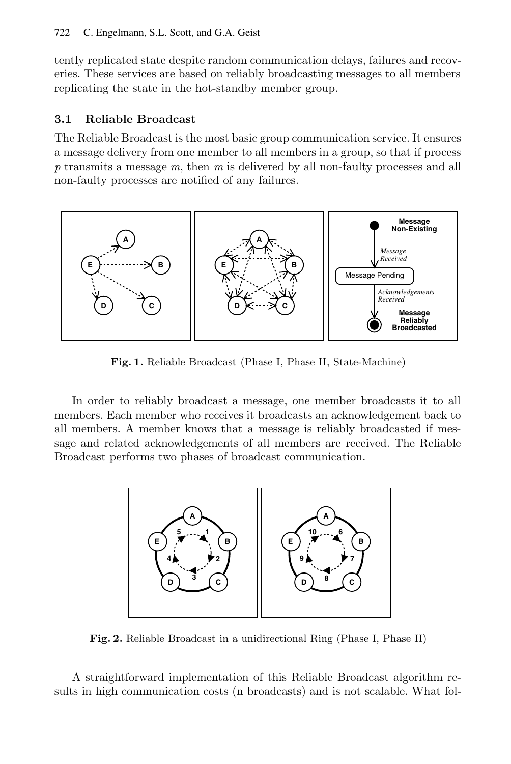tently replicated state despite random communication delays, failures and recoveries. These services are based on reliably broadcasting messages to all members replicating the state in the hot-standby member group.

### **3.1 Reliable Broadcast**

The Reliable Broadcast is the most basic group communication service. It ensures a message delivery from one member to all members in a group, so that if process  $p$  transmits a message  $m$ , then  $m$  is delivered by all non-faulty processes and all non-faulty processes are notified of any failures.



**Fig. 1.** Reliable Broadcast (Phase I, Phase II, State-Machine)

In order to reliably broadcast a message, one member broadcasts it to all members. Each member who receives it broadcasts an acknowledgement back to all members. A member knows that a message is reliably broadcasted if message and related acknowledgements of all members are received. The Reliable Broadcast performs two phases of broadcast communication.



**Fig. 2.** Reliable Broadcast in a unidirectional Ring (Phase I, Phase II)

A straightforward implementation of this Reliable Broadcast algorithm results in high communication costs (n broadcasts) and is not scalable. What fol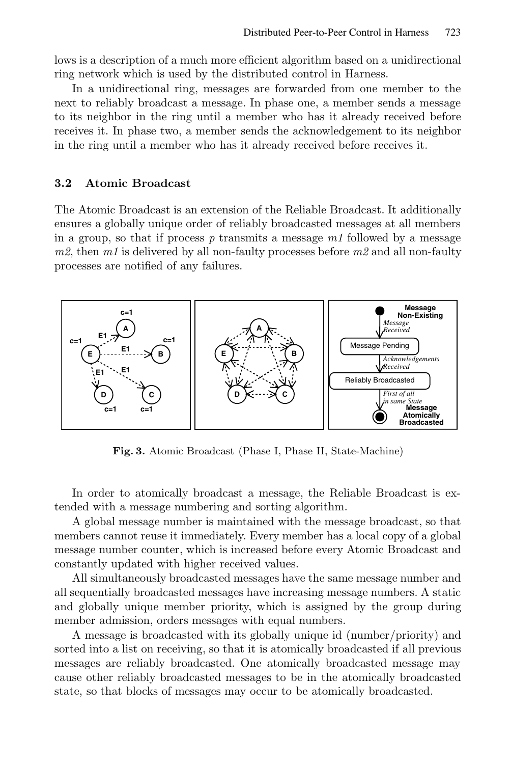lows is a description of a much more efficient algorithm based on a unidirectional ring network which is used by the distributed control in Harness.

In a unidirectional ring, messages are forwarded from one member to the next to reliably broadcast a message. In phase one, a member sends a message to its neighbor in the ring until a member who has it already received before receives it. In phase two, a member sends the acknowledgement to its neighbor in the ring until a member who has it already received before receives it.

#### **3.2 Atomic Broadcast**

The Atomic Broadcast is an extension of the Reliable Broadcast. It additionally ensures a globally unique order of reliably broadcasted messages at all members in a group, so that if process p transmits a message  $m1$  followed by a message  $m$ 2, then m1 is delivered by all non-faulty processes before  $m$ 2 and all non-faulty processes are notified of any failures.



**Fig. 3.** Atomic Broadcast (Phase I, Phase II, State-Machine)

In order to atomically broadcast a message, the Reliable Broadcast is extended with a message numbering and sorting algorithm.

A global message number is maintained with the message broadcast, so that members cannot reuse it immediately. Every member has a local copy of a global message number counter, which is increased before every Atomic Broadcast and constantly updated with higher received values.

All simultaneously broadcasted messages have the same message number and all sequentially broadcasted messages have increasing message numbers. A static and globally unique member priority, which is assigned by the group during member admission, orders messages with equal numbers.

A message is broadcasted with its globally unique id (number/priority) and sorted into a list on receiving, so that it is atomically broadcasted if all previous messages are reliably broadcasted. One atomically broadcasted message may cause other reliably broadcasted messages to be in the atomically broadcasted state, so that blocks of messages may occur to be atomically broadcasted.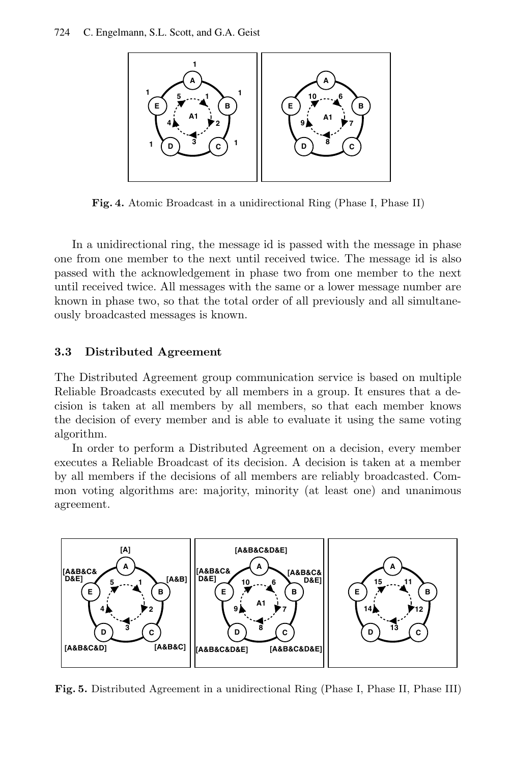

**Fig. 4.** Atomic Broadcast in a unidirectional Ring (Phase I, Phase II)

In a unidirectional ring, the message id is passed with the message in phase one from one member to the next until received twice. The message id is also passed with the acknowledgement in phase two from one member to the next until received twice. All messages with the same or a lower message number are known in phase two, so that the total order of all previously and all simultaneously broadcasted messages is known.

#### **3.3 Distributed Agreement**

The Distributed Agreement group communication service is based on multiple Reliable Broadcasts executed by all members in a group. It ensures that a decision is taken at all members by all members, so that each member knows the decision of every member and is able to evaluate it using the same voting algorithm.

In order to perform a Distributed Agreement on a decision, every member executes a Reliable Broadcast of its decision. A decision is taken at a member by all members if the decisions of all members are reliably broadcasted. Common voting algorithms are: majority, minority (at least one) and unanimous agreement.



**Fig. 5.** Distributed Agreement in a unidirectional Ring (Phase I, Phase II, Phase III)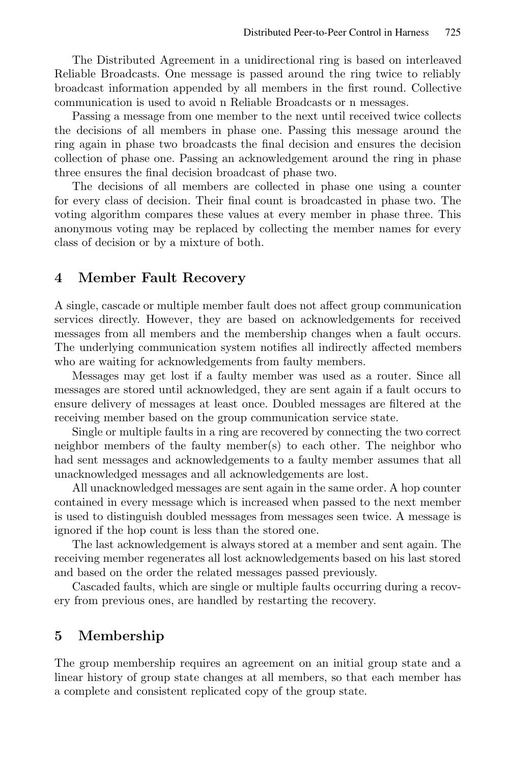The Distributed Agreement in a unidirectional ring is based on interleaved Reliable Broadcasts. One message is passed around the ring twice to reliably broadcast information appended by all members in the first round. Collective communication is used to avoid n Reliable Broadcasts or n messages.

Passing a message from one member to the next until received twice collects the decisions of all members in phase one. Passing this message around the ring again in phase two broadcasts the final decision and ensures the decision collection of phase one. Passing an acknowledgement around the ring in phase three ensures the final decision broadcast of phase two.

The decisions of all members are collected in phase one using a counter for every class of decision. Their final count is broadcasted in phase two. The voting algorithm compares these values at every member in phase three. This anonymous voting may be replaced by collecting the member names for every class of decision or by a mixture of both.

### **4 Member Fault Recovery**

A single, cascade or multiple member fault does not affect group communication services directly. However, they are based on acknowledgements for received messages from all members and the membership changes when a fault occurs. The underlying communication system notifies all indirectly affected members who are waiting for acknowledgements from faulty members.

Messages may get lost if a faulty member was used as a router. Since all messages are stored until acknowledged, they are sent again if a fault occurs to ensure delivery of messages at least once. Doubled messages are filtered at the receiving member based on the group communication service state.

Single or multiple faults in a ring are recovered by connecting the two correct neighbor members of the faulty member(s) to each other. The neighbor who had sent messages and acknowledgements to a faulty member assumes that all unacknowledged messages and all acknowledgements are lost.

All unacknowledged messages are sent again in the same order. A hop counter contained in every message which is increased when passed to the next member is used to distinguish doubled messages from messages seen twice. A message is ignored if the hop count is less than the stored one.

The last acknowledgement is always stored at a member and sent again. The receiving member regenerates all lost acknowledgements based on his last stored and based on the order the related messages passed previously.

Cascaded faults, which are single or multiple faults occurring during a recovery from previous ones, are handled by restarting the recovery.

### **5Membership**

The group membership requires an agreement on an initial group state and a linear history of group state changes at all members, so that each member has a complete and consistent replicated copy of the group state.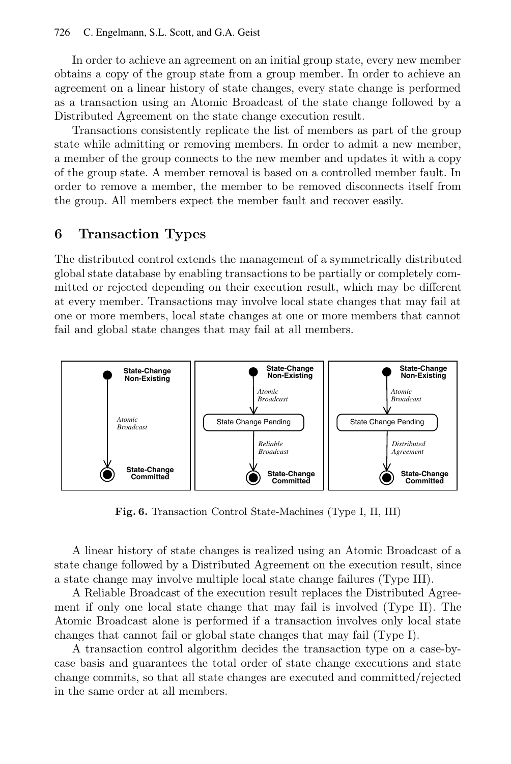In order to achieve an agreement on an initial group state, every new member obtains a copy of the group state from a group member. In order to achieve an agreement on a linear history of state changes, every state change is performed as a transaction using an Atomic Broadcast of the state change followed by a Distributed Agreement on the state change execution result.

Transactions consistently replicate the list of members as part of the group state while admitting or removing members. In order to admit a new member, a member of the group connects to the new member and updates it with a copy of the group state. A member removal is based on a controlled member fault. In order to remove a member, the member to be removed disconnects itself from the group. All members expect the member fault and recover easily.

# **6 Transaction Types**

The distributed control extends the management of a symmetrically distributed global state database by enabling transactions to be partially or completely committed or rejected depending on their execution result, which may be different at every member. Transactions may involve local state changes that may fail at one or more members, local state changes at one or more members that cannot fail and global state changes that may fail at all members.



**Fig. 6.** Transaction Control State-Machines (Type I, II, III)

A linear history of state changes is realized using an Atomic Broadcast of a state change followed by a Distributed Agreement on the execution result, since a state change may involve multiple local state change failures (Type III).

A Reliable Broadcast of the execution result replaces the Distributed Agreement if only one local state change that may fail is involved (Type II). The Atomic Broadcast alone is performed if a transaction involves only local state changes that cannot fail or global state changes that may fail (Type I).

A transaction control algorithm decides the transaction type on a case-bycase basis and guarantees the total order of state change executions and state change commits, so that all state changes are executed and committed/rejected in the same order at all members.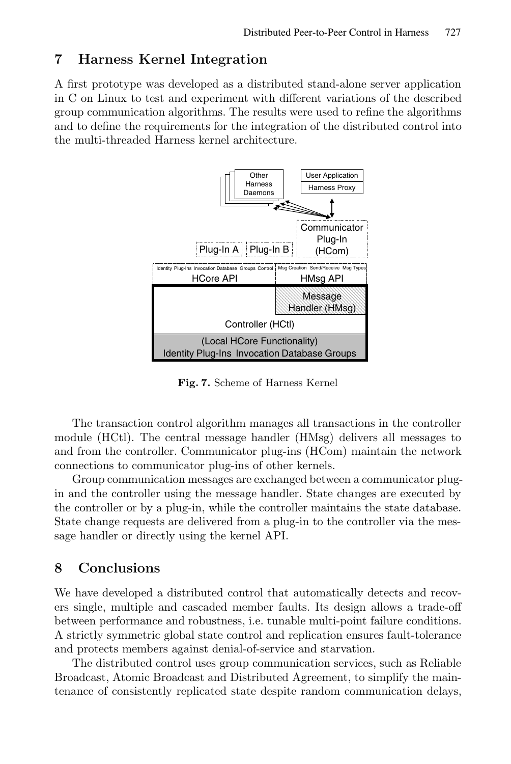#### **7 Harness Kernel Integration**

A first prototype was developed as a distributed stand-alone server application in C on Linux to test and experiment with different variations of the described group communication algorithms. The results were used to refine the algorithms and to define the requirements for the integration of the distributed control into the multi-threaded Harness kernel architecture.



**Fig. 7.** Scheme of Harness Kernel

The transaction control algorithm manages all transactions in the controller module (HCtl). The central message handler (HMsg) delivers all messages to and from the controller. Communicator plug-ins (HCom) maintain the network connections to communicator plug-ins of other kernels.

Group communication messages are exchanged between a communicator plugin and the controller using the message handler. State changes are executed by the controller or by a plug-in, while the controller maintains the state database. State change requests are delivered from a plug-in to the controller via the message handler or directly using the kernel API.

### **8 Conclusions**

We have developed a distributed control that automatically detects and recovers single, multiple and cascaded member faults. Its design allows a trade-off between performance and robustness, i.e. tunable multi-point failure conditions. A strictly symmetric global state control and replication ensures fault-tolerance and protects members against denial-of-service and starvation.

The distributed control uses group communication services, such as Reliable Broadcast, Atomic Broadcast and Distributed Agreement, to simplify the maintenance of consistently replicated state despite random communication delays,